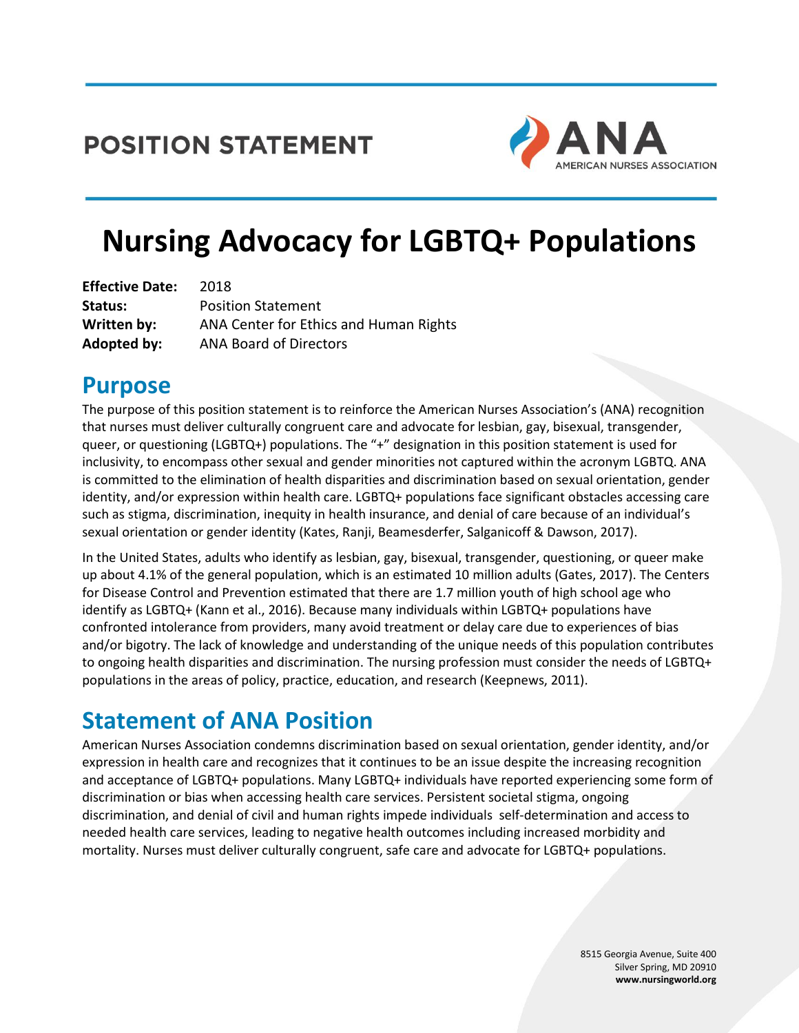## **POSITION STATEMENT**



# **Nursing Advocacy for LGBTQ+ Populations**

| <b>Effective Date:</b> | 2018                                   |
|------------------------|----------------------------------------|
| Status:                | <b>Position Statement</b>              |
| Written by:            | ANA Center for Ethics and Human Rights |
| Adopted by:            | <b>ANA Board of Directors</b>          |

### **Purpose**

The purpose of this position statement is to reinforce the American Nurses Association's (ANA) recognition that nurses must deliver culturally congruent care and advocate for lesbian, gay, bisexual, transgender, queer, or questioning (LGBTQ+) populations. The "+" designation in this position statement is used for inclusivity, to encompass other sexual and gender minorities not captured within the acronym LGBTQ. ANA is committed to the elimination of health disparities and discrimination based on sexual orientation, gender identity, and/or expression within health care. LGBTQ+ populations face significant obstacles accessing care such as stigma, discrimination, inequity in health insurance, and denial of care because of an individual's sexual orientation or gender identity (Kates, Ranji, Beamesderfer, Salganicoff & Dawson, 2017).

In the United States, adults who identify as lesbian, gay, bisexual, transgender, questioning, or queer make up about 4.1% of the general population, which is an estimated 10 million adults (Gates, 2017). The Centers for Disease Control and Prevention estimated that there are 1.7 million youth of high school age who identify as LGBTQ+ (Kann et al., 2016). Because many individuals within LGBTQ+ populations have confronted intolerance from providers, many avoid treatment or delay care due to experiences of bias and/or bigotry. The lack of knowledge and understanding of the unique needs of this population contributes to ongoing health disparities and discrimination. The nursing profession must consider the needs of LGBTQ+ populations in the areas of policy, practice, education, and research (Keepnews, 2011).

## **Statement of ANA Position**

American Nurses Association condemns discrimination based on sexual orientation, gender identity, and/or expression in health care and recognizes that it continues to be an issue despite the increasing recognition and acceptance of LGBTQ+ populations. Many LGBTQ+ individuals have reported experiencing some form of discrimination or bias when accessing health care services. Persistent societal stigma, ongoing discrimination, and denial of civil and human rights impede individuals self-determination and access to needed health care services, leading to negative health outcomes including increased morbidity and mortality. Nurses must deliver culturally congruent, safe care and advocate for LGBTQ+ populations.

> 8515 Georgia Avenue, Suite 400 Silver Spring, MD 20910 **www.nursingworld.org**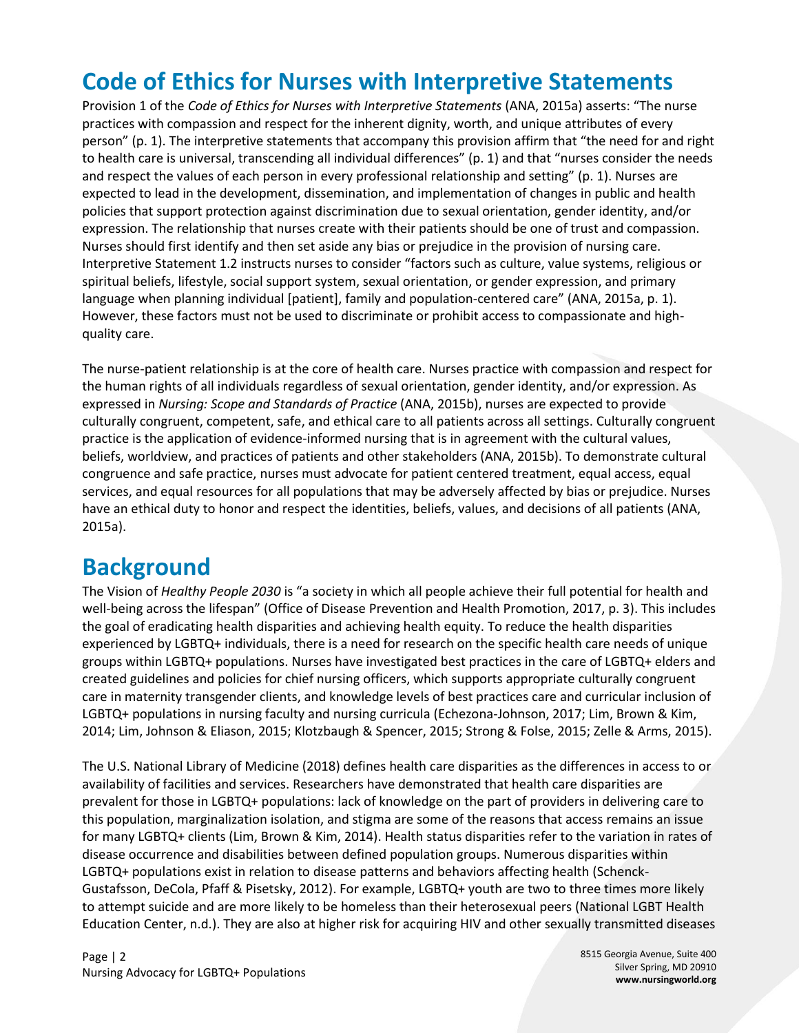## **Code of Ethics for Nurses with Interpretive Statements**

Provision 1 of the *Code of Ethics for Nurses with Interpretive Statements* (ANA, 2015a) asserts: "The nurse practices with compassion and respect for the inherent dignity, worth, and unique attributes of every person" (p. 1). The interpretive statements that accompany this provision affirm that "the need for and right to health care is universal, transcending all individual differences" (p. 1) and that "nurses consider the needs and respect the values of each person in every professional relationship and setting" (p. 1). Nurses are expected to lead in the development, dissemination, and implementation of changes in public and health policies that support protection against discrimination due to sexual orientation, gender identity, and/or expression. The relationship that nurses create with their patients should be one of trust and compassion. Nurses should first identify and then set aside any bias or prejudice in the provision of nursing care. Interpretive Statement 1.2 instructs nurses to consider "factors such as culture, value systems, religious or spiritual beliefs, lifestyle, social support system, sexual orientation, or gender expression, and primary language when planning individual [patient], family and population-centered care" (ANA, 2015a, p. 1). However, these factors must not be used to discriminate or prohibit access to compassionate and highquality care.

The nurse-patient relationship is at the core of health care. Nurses practice with compassion and respect for the human rights of all individuals regardless of sexual orientation, gender identity, and/or expression. As expressed in *Nursing: Scope and Standards of Practice* (ANA, 2015b), nurses are expected to provide culturally congruent, competent, safe, and ethical care to all patients across all settings. Culturally congruent practice is the application of evidence-informed nursing that is in agreement with the cultural values, beliefs, worldview, and practices of patients and other stakeholders (ANA, 2015b). To demonstrate cultural congruence and safe practice, nurses must advocate for patient centered treatment, equal access, equal services, and equal resources for all populations that may be adversely affected by bias or prejudice. Nurses have an ethical duty to honor and respect the identities, beliefs, values, and decisions of all patients (ANA, 2015a).

#### **Background**

The Vision of *Healthy People 2030* is "a society in which all people achieve their full potential for health and well-being across the lifespan" (Office of Disease Prevention and Health Promotion, 2017, p. 3). This includes the goal of eradicating health disparities and achieving health equity. To reduce the health disparities experienced by LGBTQ+ individuals, there is a need for research on the specific health care needs of unique groups within LGBTQ+ populations. Nurses have investigated best practices in the care of LGBTQ+ elders and created guidelines and policies for chief nursing officers, which supports appropriate culturally congruent care in maternity transgender clients, and knowledge levels of best practices care and curricular inclusion of LGBTQ+ populations in nursing faculty and nursing curricula (Echezona-Johnson, 2017; Lim, Brown & Kim, 2014; Lim, Johnson & Eliason, 2015; Klotzbaugh & Spencer, 2015; Strong & Folse, 2015; Zelle & Arms, 2015).

The U.S. National Library of Medicine (2018) defines health care disparities as the differences in access to or availability of facilities and services. Researchers have demonstrated that health care disparities are prevalent for those in LGBTQ+ populations: lack of knowledge on the part of providers in delivering care to this population, marginalization isolation, and stigma are some of the reasons that access remains an issue for many LGBTQ+ clients (Lim, Brown & Kim, 2014). Health status disparities refer to the variation in rates of disease occurrence and disabilities between defined population groups. Numerous disparities within LGBTQ+ populations exist in relation to disease patterns and behaviors affecting health (Schenck-Gustafsson, DeCola, Pfaff & Pisetsky, 2012). For example, LGBTQ+ youth are two to three times more likely to attempt suicide and are more likely to be homeless than their heterosexual peers (National LGBT Health Education Center, n.d.). They are also at higher risk for acquiring HIV and other sexually transmitted diseases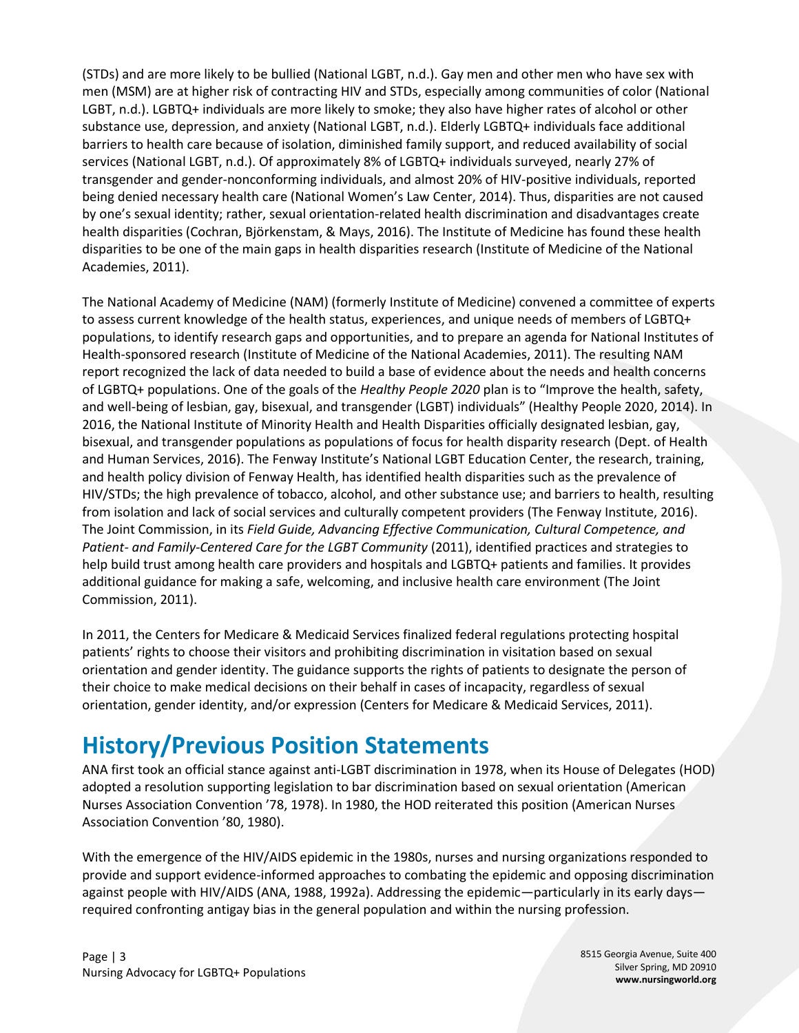(STDs) and are more likely to be bullied (National LGBT, n.d.). Gay men and other men who have sex with men (MSM) are at higher risk of contracting HIV and STDs, especially among communities of color (National LGBT, n.d.). LGBTQ+ individuals are more likely to smoke; they also have higher rates of alcohol or other substance use, depression, and anxiety (National LGBT, n.d.). Elderly LGBTQ+ individuals face additional barriers to health care because of isolation, diminished family support, and reduced availability of social services (National LGBT, n.d.). Of approximately 8% of LGBTQ+ individuals surveyed, nearly 27% of transgender and gender-nonconforming individuals, and almost 20% of HIV-positive individuals, reported being denied necessary health care (National Women's Law Center, 2014). Thus, disparities are not caused by one's sexual identity; rather, sexual orientation-related health discrimination and disadvantages create health disparities (Cochran, Björkenstam, & Mays, 2016). The Institute of Medicine has found these health disparities to be one of the main gaps in health disparities research (Institute of Medicine of the National Academies, 2011).

The National Academy of Medicine (NAM) (formerly Institute of Medicine) convened a committee of experts to assess current knowledge of the health status, experiences, and unique needs of members of LGBTQ+ populations, to identify research gaps and opportunities, and to prepare an agenda for National Institutes of Health-sponsored research (Institute of Medicine of the National Academies, 2011). The resulting NAM report recognized the lack of data needed to build a base of evidence about the needs and health concerns of LGBTQ+ populations. One of the goals of the *Healthy People 2020* plan is to "Improve the health, safety, and well-being of lesbian, gay, bisexual, and transgender (LGBT) individuals" (Healthy People 2020, 2014). In 2016, the National Institute of Minority Health and Health Disparities officially designated lesbian, gay, bisexual, and transgender populations as populations of focus for health disparity research (Dept. of Health and Human Services, 2016). The Fenway Institute's National LGBT Education Center, the research, training, and health policy division of Fenway Health, has identified health disparities such as the prevalence of HIV/STDs; the high prevalence of tobacco, alcohol, and other substance use; and barriers to health, resulting from isolation and lack of social services and culturally competent providers (The Fenway Institute, 2016). The Joint Commission, in its *Field Guide, Advancing Effective Communication, Cultural Competence, and Patient- and Family-Centered Care for the LGBT Community* (2011), identified practices and strategies to help build trust among health care providers and hospitals and LGBTQ+ patients and families. It provides additional guidance for making a safe, welcoming, and inclusive health care environment (The Joint Commission, 2011).

In 2011, the Centers for Medicare & Medicaid Services finalized federal regulations protecting hospital patients' rights to choose their visitors and prohibiting discrimination in visitation based on sexual orientation and gender identity. The guidance supports the rights of patients to designate the person of their choice to make medical decisions on their behalf in cases of incapacity, regardless of sexual orientation, gender identity, and/or expression (Centers for Medicare & Medicaid Services, 2011).

## **History/Previous Position Statements**

ANA first took an official stance against anti-LGBT discrimination in 1978, when its House of Delegates (HOD) adopted a resolution supporting legislation to bar discrimination based on sexual orientation (American Nurses Association Convention '78, 1978). In 1980, the HOD reiterated this position (American Nurses Association Convention '80, 1980).

With the emergence of the HIV/AIDS epidemic in the 1980s, nurses and nursing organizations responded to provide and support evidence-informed approaches to combating the epidemic and opposing discrimination against people with HIV/AIDS (ANA, 1988, 1992a). Addressing the epidemic—particularly in its early days required confronting antigay bias in the general population and within the nursing profession.

8515 Georgia Avenue, Suite 400 Silver Spring, MD 20910 **www.nursingworld.org**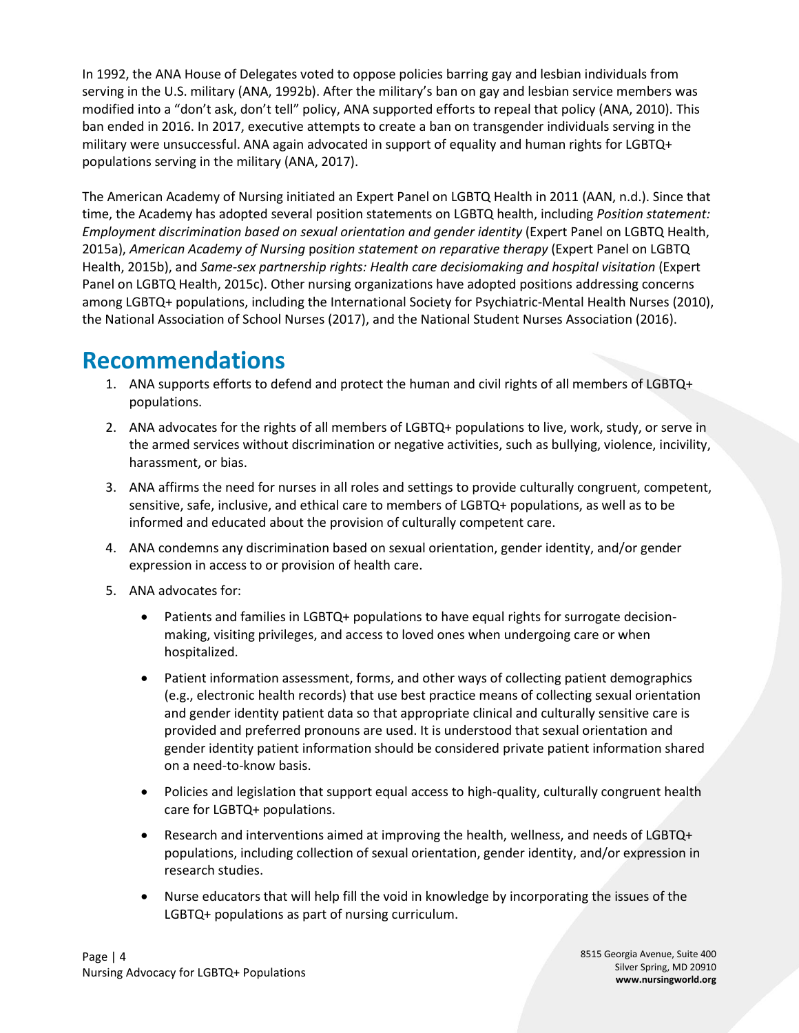In 1992, the ANA House of Delegates voted to oppose policies barring gay and lesbian individuals from serving in the U.S. military (ANA, 1992b). After the military's ban on gay and lesbian service members was modified into a "don't ask, don't tell" policy, ANA supported efforts to repeal that policy (ANA, 2010). This ban ended in 2016. In 2017, executive attempts to create a ban on transgender individuals serving in the military were unsuccessful. ANA again advocated in support of equality and human rights for LGBTQ+ populations serving in the military (ANA, 2017).

The American Academy of Nursing initiated an Expert Panel on LGBTQ Health in 2011 (AAN, n.d.). Since that time, the Academy has adopted several position statements on LGBTQ health, including *Position statement: Employment discrimination based on sexual orientation and gender identity* (Expert Panel on LGBTQ Health, 2015a), *American Academy of Nursing* p*osition statement on reparative therapy* (Expert Panel on LGBTQ Health, 2015b), and *Same-sex partnership rights: Health care decisiomaking and hospital visitation* (Expert Panel on LGBTQ Health, 2015c). Other nursing organizations have adopted positions addressing concerns among LGBTQ+ populations, including the International Society for Psychiatric-Mental Health Nurses (2010), the National Association of School Nurses (2017), and the National Student Nurses Association (2016).

### **Recommendations**

- 1. ANA supports efforts to defend and protect the human and civil rights of all members of LGBTQ+ populations.
- 2. ANA advocates for the rights of all members of LGBTQ+ populations to live, work, study, or serve in the armed services without discrimination or negative activities, such as bullying, violence, incivility, harassment, or bias.
- 3. ANA affirms the need for nurses in all roles and settings to provide culturally congruent, competent, sensitive, safe, inclusive, and ethical care to members of LGBTQ+ populations, as well as to be informed and educated about the provision of culturally competent care.
- 4. ANA condemns any discrimination based on sexual orientation, gender identity, and/or gender expression in access to or provision of health care.
- 5. ANA advocates for:
	- Patients and families in LGBTQ+ populations to have equal rights for surrogate decisionmaking, visiting privileges, and access to loved ones when undergoing care or when hospitalized.
	- Patient information assessment, forms, and other ways of collecting patient demographics (e.g., electronic health records) that use best practice means of collecting sexual orientation and gender identity patient data so that appropriate clinical and culturally sensitive care is provided and preferred pronouns are used. It is understood that sexual orientation and gender identity patient information should be considered private patient information shared on a need-to-know basis.
	- Policies and legislation that support equal access to high-quality, culturally congruent health care for LGBTQ+ populations.
	- Research and interventions aimed at improving the health, wellness, and needs of LGBTQ+ populations, including collection of sexual orientation, gender identity, and/or expression in research studies.
	- Nurse educators that will help fill the void in knowledge by incorporating the issues of the LGBTQ+ populations as part of nursing curriculum.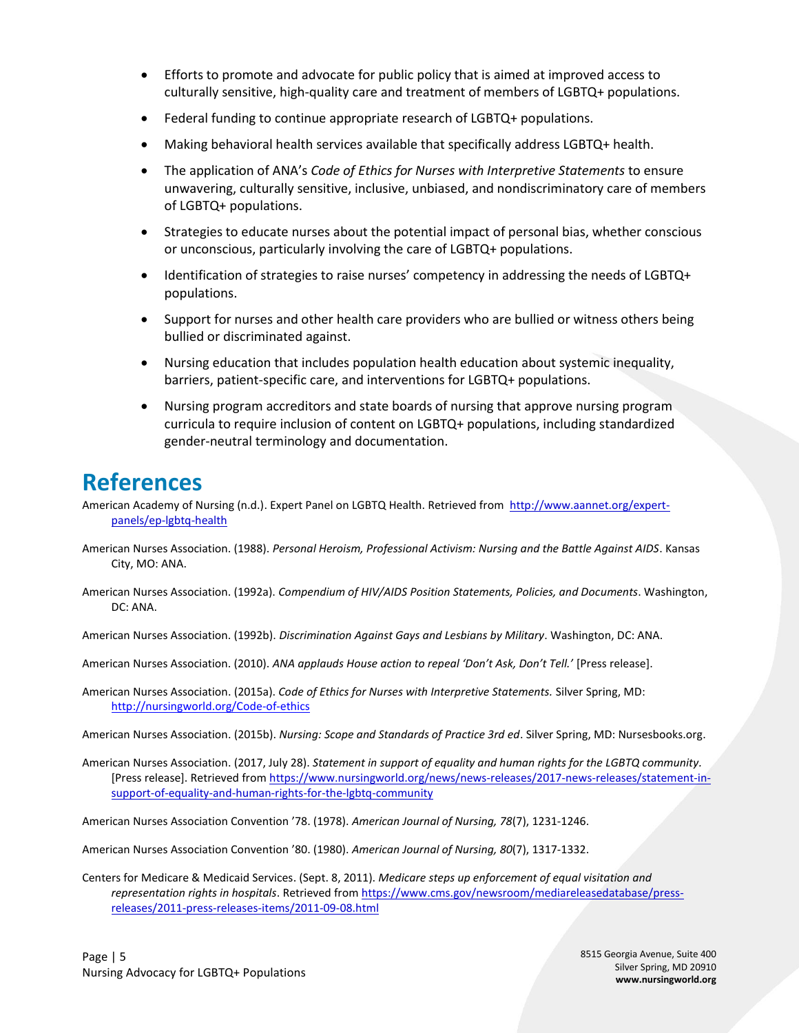- Efforts to promote and advocate for public policy that is aimed at improved access to culturally sensitive, high-quality care and treatment of members of LGBTQ+ populations.
- Federal funding to continue appropriate research of LGBTQ+ populations.
- Making behavioral health services available that specifically address LGBTQ+ health.
- The application of ANA's *Code of Ethics for Nurses with Interpretive Statements* to ensure unwavering, culturally sensitive, inclusive, unbiased, and nondiscriminatory care of members of LGBTQ+ populations.
- Strategies to educate nurses about the potential impact of personal bias, whether conscious or unconscious, particularly involving the care of LGBTQ+ populations.
- Identification of strategies to raise nurses' competency in addressing the needs of LGBTQ+ populations.
- Support for nurses and other health care providers who are bullied or witness others being bullied or discriminated against.
- Nursing education that includes population health education about systemic inequality, barriers, patient-specific care, and interventions for LGBTQ+ populations.
- Nursing program accreditors and state boards of nursing that approve nursing program curricula to require inclusion of content on LGBTQ+ populations, including standardized gender-neutral terminology and documentation.

#### **References**

American Academy of Nursing (n.d.). Expert Panel on LGBTQ Health. Retrieved from [http://www.aannet.org/expert](http://www.aannet.org/expert-panels/ep-lgbtq-health)[panels/ep-lgbtq-health](http://www.aannet.org/expert-panels/ep-lgbtq-health)

- American Nurses Association. (1988). *Personal Heroism, Professional Activism: Nursing and the Battle Against AIDS*. Kansas City, MO: ANA.
- American Nurses Association. (1992a). *Compendium of HIV/AIDS Position Statements, Policies, and Documents*. Washington, DC: ANA.
- American Nurses Association. (1992b). *Discrimination Against Gays and Lesbians by Military*. Washington, DC: ANA.

American Nurses Association. (2010). *ANA applauds House action to repeal 'Don't Ask, Don't Tell.'* [Press release].

American Nurses Association. (2015a). *Code of Ethics for Nurses with Interpretive Statements.* Silver Spring, MD: <http://nursingworld.org/Code-of-ethics>

American Nurses Association. (2015b). *Nursing: Scope and Standards of Practice 3rd ed*. Silver Spring, MD: Nursesbooks.org.

American Nurses Association. (2017, July 28). *Statement in support of equality and human rights for the LGBTQ community.* [Press release]. Retrieved fro[m https://www.nursingworld.org/news/news-releases/2017-news-releases/statement-in](https://www.nursingworld.org/news/news-releases/2017-news-releases/statement-in-support-of-equality-and-human-rights-for-the-lgbtq-community)[support-of-equality-and-human-rights-for-the-lgbtq-community](https://www.nursingworld.org/news/news-releases/2017-news-releases/statement-in-support-of-equality-and-human-rights-for-the-lgbtq-community)

American Nurses Association Convention '78. (1978). *American Journal of Nursing, 78*(7), 1231-1246.

American Nurses Association Convention '80. (1980). *American Journal of Nursing, 80*(7), 1317-1332.

Centers for Medicare & Medicaid Services. (Sept. 8, 2011). *Medicare steps up enforcement of equal visitation and representation rights in hospitals*. Retrieved from [https://www.cms.gov/newsroom/mediareleasedatabase/press](https://www.cms.gov/newsroom/mediareleasedatabase/press-releases/2011-press-releases-items/2011-09-08.html)[releases/2011-press-releases-items/2011-09-08.html](https://www.cms.gov/newsroom/mediareleasedatabase/press-releases/2011-press-releases-items/2011-09-08.html)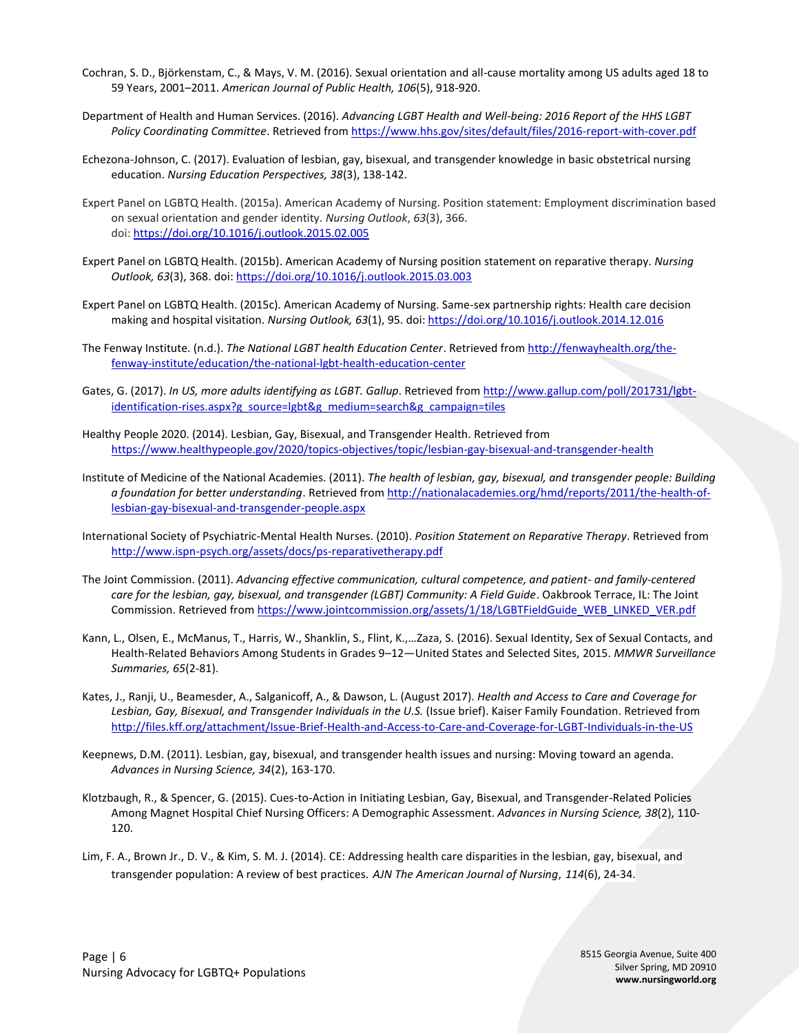- Cochran, S. D., Björkenstam, C., & Mays, V. M. (2016). Sexual orientation and all-cause mortality among US adults aged 18 to 59 Years, 2001–2011. *American Journal of Public Health, 106*(5), 918-920.
- Department of Health and Human Services. (2016). *Advancing LGBT Health and Well-being: 2016 Report of the HHS LGBT Policy Coordinating Committee*. Retrieved fro[m https://www.hhs.gov/sites/default/files/2016-report-with-cover.pdf](https://www.hhs.gov/sites/default/files/2016-report-with-cover.pdf)
- Echezona-Johnson, C. (2017). Evaluation of lesbian, gay, bisexual, and transgender knowledge in basic obstetrical nursing education. *Nursing Education Perspectives, 38*(3), 138-142.
- Expert Panel on LGBTQ Health. (2015a). American Academy of Nursing. Position statement: Employment discrimination based on sexual orientation and gender identity. *Nursing Outlook*, *63*(3), 366. doi: <https://doi.org/10.1016/j.outlook.2015.02.005>
- Expert Panel on LGBTQ Health. (2015b). American Academy of Nursing position statement on reparative therapy. *Nursing Outlook, 63*(3), 368. doi: <https://doi.org/10.1016/j.outlook.2015.03.003>
- Expert Panel on LGBTQ Health. (2015c). American Academy of Nursing. Same-sex partnership rights: Health care decision making and hospital visitation. *Nursing Outlook, 63*(1), 95. doi: <https://doi.org/10.1016/j.outlook.2014.12.016>
- The Fenway Institute. (n.d.). *The National LGBT health Education Center*. Retrieved fro[m http://fenwayhealth.org/the](http://fenwayhealth.org/the-fenway-institute/education/the-national-lgbt-health-education-center)[fenway-institute/education/the-national-lgbt-health-education-center](http://fenwayhealth.org/the-fenway-institute/education/the-national-lgbt-health-education-center)
- Gates, G. (2017). *In US, more adults identifying as LGBT. Gallup*. Retrieved fro[m http://www.gallup.com/poll/201731/lgbt](http://www.gallup.com/poll/201731/lgbt-identification-rises.aspx?g_source=lgbt&g_medium=search&g_campaign=tiles)[identification-rises.aspx?g\\_source=lgbt&g\\_medium=search&g\\_campaign=tiles](http://www.gallup.com/poll/201731/lgbt-identification-rises.aspx?g_source=lgbt&g_medium=search&g_campaign=tiles)
- Healthy People 2020. (2014). Lesbian, Gay, Bisexual, and Transgender Health. Retrieved from <https://www.healthypeople.gov/2020/topics-objectives/topic/lesbian-gay-bisexual-and-transgender-health>
- Institute of Medicine of the National Academies. (2011). *The health of lesbian, gay, bisexual, and transgender people: Building a foundation for better understanding*. Retrieved fro[m http://nationalacademies.org/hmd/reports/2011/the-health-of](http://nationalacademies.org/hmd/reports/2011/the-health-of-lesbian-gay-bisexual-and-transgender-people.aspx)[lesbian-gay-bisexual-and-transgender-people.aspx](http://nationalacademies.org/hmd/reports/2011/the-health-of-lesbian-gay-bisexual-and-transgender-people.aspx)
- International Society of Psychiatric-Mental Health Nurses. (2010). *Position Statement on Reparative Therapy*. Retrieved from <http://www.ispn-psych.org/assets/docs/ps-reparativetherapy.pdf>
- The Joint Commission. (2011). *Advancing effective communication, cultural competence, and patient- and family-centered care for the lesbian, gay, bisexual, and transgender (LGBT) Community: A Field Guide*. Oakbrook Terrace, IL: The Joint Commission. Retrieved fro[m https://www.jointcommission.org/assets/1/18/LGBTFieldGuide\\_WEB\\_LINKED\\_VER.pdf](https://www.jointcommission.org/assets/1/18/LGBTFieldGuide_WEB_LINKED_VER.pdf)
- Kann, L., Olsen, E., McManus, T., Harris, W., Shanklin, S., Flint, K.,…Zaza, S. (2016). Sexual Identity, Sex of Sexual Contacts, and Health-Related Behaviors Among Students in Grades 9–12—United States and Selected Sites, 2015. *MMWR Surveillance Summaries, 65*(2-81).
- Kates, J., Ranji, U., Beamesder, A., Salganicoff, A., & Dawson, L. (August 2017). *Health and Access to Care and Coverage for Lesbian, Gay, Bisexual, and Transgender Individuals in the U.S.* (Issue brief). Kaiser Family Foundation. Retrieved from <http://files.kff.org/attachment/Issue-Brief-Health-and-Access-to-Care-and-Coverage-for-LGBT-Individuals-in-the-US>
- Keepnews, D.M. (2011). Lesbian, gay, bisexual, and transgender health issues and nursing: Moving toward an agenda. *Advances in Nursing Science, 34*(2), 163-170.
- Klotzbaugh, R., & Spencer, G. (2015). Cues-to-Action in Initiating Lesbian, Gay, Bisexual, and Transgender-Related Policies Among Magnet Hospital Chief Nursing Officers: A Demographic Assessment. *Advances in Nursing Science, 38*(2), 110- 120.
- Lim, F. A., Brown Jr., D. V., & Kim, S. M. J. (2014). CE: Addressing health care disparities in the lesbian, gay, bisexual, and transgender population: A review of best practices. *AJN The American Journal of Nursing*, *114*(6), 24-34.